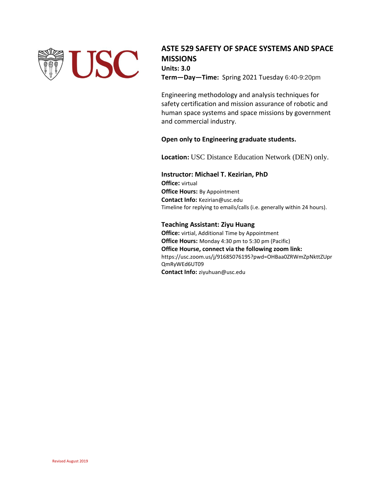

**ASTE 529 SAFETY OF SPACE SYSTEMS AND SPACE MISSIONS Units: 3.0 Term—Day—Time:** Spring 2021 Tuesday 6:40-9:20pm

Engineering methodology and analysis techniques for safety certification and mission assurance of robotic and human space systems and space missions by government and commercial industry.

# **Open only to Engineering graduate students.**

**Location:** USC Distance Education Network (DEN) only.

# **Instructor: Michael T. Kezirian, PhD**

**Office:** virtual **Office Hours:** By Appointment **Contact Info:** Kezirian@usc.edu Timeline for replying to emails/calls (i.e. generally within 24 hours).

# **Teaching Assistant: Ziyu Huang**

**Office:** virtial, Additional Time by Appointment **Office Hours:** Monday 4:30 pm to 5:30 pm (Pacific) **Office Hourse, connect via the following zoom link:** https://usc.zoom.us/j/91685076195?pwd=OHBaa0ZRWmZpNkttZUpr QmRyWEd6UT09 **Contact Info:** ziyuhuan@usc.edu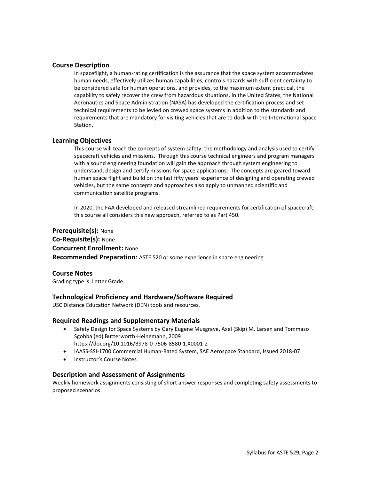## **Course Description**

In spaceflight, a human-rating certification is the assurance that the space system accommodates human needs, effectively utilizes human capabilities, controls hazards with sufficient certainty to be considered safe for human operations, and provides, to the maximum extent practical, the capability to safely recover the crew from hazardous situations. In the United States, the National Aeronautics and Space Administration (NASA) has developed the certification process and set technical requirements to be levied on crewed space systems in addition to the standards and requirements that are mandatory for visiting vehicles that are to dock with the International Space Station.

## **Learning Objectives**

This course will teach the concepts of system safety: the methodology and analysis used to certify spacecraft vehicles and missions. Through this course technical engineers and program managers with a sound engineering foundation will gain the approach through system engineering to understand, design and certify missions for space applications. The concepts are geared toward human space flight and build on the last fifty years' experience of designing and operating crewed vehicles, but the same concepts and approaches also apply to unmanned scientific and communication satellite programs.

In 2020, the FAA developed and released streamlined requirements for certification of spacecraft; this course all considers this new approach, referred to as Part 450.

**Prerequisite(s):** None **Co-Requisite(s):** None **Concurrent Enrollment:** None **Recommended Preparation**: ASTE 520 or some experience in space engineering.

#### **Course Notes**

Grading type is Letter Grade.

## **Technological Proficiency and Hardware/Software Required**

USC Distance Education Network (DEN) tools and resources.

## **Required Readings and Supplementary Materials**

- Safety Design for Space Systems by Gary Eugene Musgrave, Axel (Skip) M. Larsen and Tommaso Sgobba (ed) Butterworth-Heinemann, 2009 <https://doi.org/10.1016/B978-0-7506-8580-1.X0001-2>
- IAASS-SSI-1700 Commercial Human-Rated System, SAE Aerospace Standard, Issued 2018-07
- Instructor's Course Notes

## **Description and Assessment of Assignments**

Weekly homework assignments consisting of short answer responses and completing safety assessments to proposed scenarios.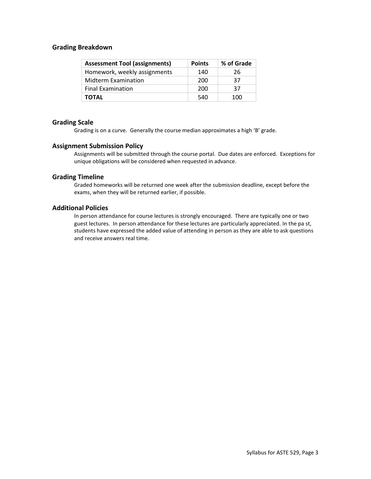## **Grading Breakdown**

| <b>Assessment Tool (assignments)</b> | <b>Points</b> | % of Grade |
|--------------------------------------|---------------|------------|
| Homework, weekly assignments         | 140           | 26         |
| <b>Midterm Examination</b>           | 200           | 37         |
| <b>Final Examination</b>             | 200           | 37         |
| <b>TOTAL</b>                         | 540           | 100        |

## **Grading Scale**

Grading is on a curve. Generally the course median approximates a high 'B' grade.

## **Assignment Submission Policy**

Assignments will be submitted through the course portal. Due dates are enforced. Exceptions for unique obligations will be considered when requested in advance.

## **Grading Timeline**

Graded homeworks will be returned one week after the submission deadline, except before the exams, when they will be returned earlier, if possible.

## **Additional Policies**

In person attendance for course lectures is strongly encouraged. There are typically one or two guest lectures. In person attendance for these lectures are particularly appreciated. In the pa st, students have expressed the added value of attending in person as they are able to ask questions and receive answers real time.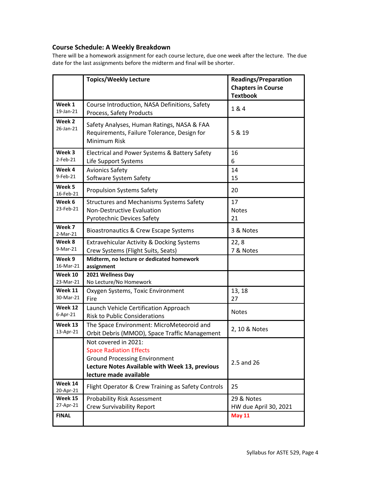# **Course Schedule: A Weekly Breakdown**

There will be a homework assignment for each course lecture, due one week after the lecture. The due date for the last assignments before the midterm and final will be shorter.

|                       | <b>Topics/Weekly Lecture</b>                                                                                                                                               | <b>Readings/Preparation</b><br><b>Chapters in Course</b><br><b>Textbook</b> |
|-----------------------|----------------------------------------------------------------------------------------------------------------------------------------------------------------------------|-----------------------------------------------------------------------------|
| Week 1<br>19-Jan-21   | Course Introduction, NASA Definitions, Safety<br>Process, Safety Products                                                                                                  | 1 & 4                                                                       |
| Week 2<br>26-Jan-21   | Safety Analyses, Human Ratings, NASA & FAA<br>Requirements, Failure Tolerance, Design for<br>Minimum Risk                                                                  | 5 & 19                                                                      |
| Week 3<br>$2$ -Feb-21 | Electrical and Power Systems & Battery Safety<br>Life Support Systems                                                                                                      | 16<br>6                                                                     |
| Week 4<br>9-Feb-21    | <b>Avionics Safety</b><br>Software System Safety                                                                                                                           | 14<br>15                                                                    |
| Week 5<br>16-Feb-21   | <b>Propulsion Systems Safety</b>                                                                                                                                           | 20                                                                          |
| Week 6<br>23-Feb-21   | <b>Structures and Mechanisms Systems Safety</b><br><b>Non-Destructive Evaluation</b><br><b>Pyrotechnic Devices Safety</b>                                                  | 17<br><b>Notes</b><br>21                                                    |
| Week 7<br>$2-Mar-21$  | Bioastronautics & Crew Escape Systems                                                                                                                                      | 3 & Notes                                                                   |
| Week 8<br>9-Mar-21    | <b>Extravehicular Activity &amp; Docking Systems</b><br>Crew Systems (Flight Suits, Seats)                                                                                 | 22,8<br>7 & Notes                                                           |
| Week 9<br>16-Mar-21   | Midterm, no lecture or dedicated homework<br>assignment                                                                                                                    |                                                                             |
| Week 10<br>23-Mar-21  | 2021 Wellness Day<br>No Lecture/No Homework                                                                                                                                |                                                                             |
| Week 11<br>30-Mar-21  | Oxygen Systems, Toxic Environment<br>Fire                                                                                                                                  | 13, 18<br>27                                                                |
| Week 12<br>6-Apr-21   | Launch Vehicle Certification Approach<br><b>Risk to Public Considerations</b>                                                                                              | <b>Notes</b>                                                                |
| Week 13<br>13-Apr-21  | The Space Environment: MicroMeteoroid and<br>Orbit Debris (MMOD), Space Traffic Management                                                                                 | 2, 10 & Notes                                                               |
|                       | Not covered in 2021:<br><b>Space Radiation Effects</b><br><b>Ground Processing Environment</b><br>Lecture Notes Available with Week 13, previous<br>lecture made available | 2.5 and 26                                                                  |
| Week 14<br>20-Apr-21  | Flight Operator & Crew Training as Safety Controls                                                                                                                         | 25                                                                          |
| Week 15<br>27-Apr-21  | <b>Probability Risk Assessment</b><br><b>Crew Survivability Report</b>                                                                                                     | 29 & Notes<br>HW due April 30, 2021                                         |
| <b>FINAL</b>          |                                                                                                                                                                            | <b>May 11</b>                                                               |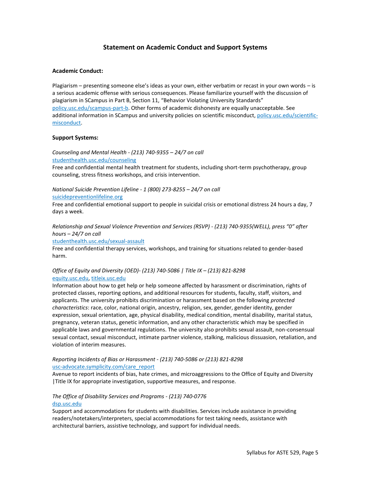# **Statement on Academic Conduct and Support Systems**

#### **Academic Conduct:**

Plagiarism – presenting someone else's ideas as your own, either verbatim or recast in your own words – is a serious academic offense with serious consequences. Please familiarize yourself with the discussion of plagiarism in SCampus in Part B, Section 11, "Behavior Violating University Standards" [policy.usc.edu/scampus-part-b.](https://policy.usc.edu/scampus-part-b/) Other forms of academic dishonesty are equally unacceptable. See additional information in SCampus and university policies on scientific misconduct[, policy.usc.edu/scientific](http://policy.usc.edu/scientific-misconduct)[misconduct.](http://policy.usc.edu/scientific-misconduct)

#### **Support Systems:**

*Counseling and Mental Health - (213) 740-9355 – 24/7 on call* [studenthealth.usc.edu/counseling](https://studenthealth.usc.edu/counseling/)

Free and confidential mental health treatment for students, including short-term psychotherapy, group counseling, stress fitness workshops, and crisis intervention.

#### *National Suicide Prevention Lifeline - 1 (800) 273-8255 – 24/7 on call* [suicidepreventionlifeline.org](http://www.suicidepreventionlifeline.org/)

Free and confidential emotional support to people in suicidal crisis or emotional distress 24 hours a day, 7 days a week.

*Relationship and Sexual Violence Prevention and Services (RSVP) - (213) 740-9355(WELL), press "0" after hours – 24/7 on call*

#### [studenthealth.usc.edu/sexual-assault](https://studenthealth.usc.edu/sexual-assault/)

Free and confidential therapy services, workshops, and training for situations related to gender-based harm[.](https://engemannshc.usc.edu/rsvp/)

## *Office of Equity and Diversity (OED)- (213) 740-5086 | Title IX – (213) 821-8298* [equity.usc.edu,](https://equity.usc.edu/) [titleix.usc.edu](http://titleix.usc.edu/)

Information about how to get help or help someone affected by harassment or discrimination, rights of protected classes, reporting options, and additional resources for students, faculty, staff, visitors, and applicants. The university prohibits discrimination or harassment based on the following *protected characteristics*: race, color, national origin, ancestry, religion, sex, gender, gender identity, gender expression, sexual orientation, age, physical disability, medical condition, mental disability, marital status, pregnancy, veteran status, genetic information, and any other characteristic which may be specified in applicable laws and governmental regulations. The university also prohibits sexual assault, non-consensual sexual contact, sexual misconduct, intimate partner violence, stalking, malicious dissuasion, retaliation, and violation of interim measures.

#### *Reporting Incidents of Bias or Harassment - (213) 740-5086 or (213) 821-8298* [usc-advocate.symplicity.com/care\\_report](https://usc-advocate.symplicity.com/care_report/)

Avenue to report incidents of bias, hate crimes, and microaggressions to the Office of Equity and Diversity |Title IX for appropriate investigation, supportive measures, and respons[e.](https://studentaffairs.usc.edu/bias-assessment-response-support/)

## *The Office of Disability Services and Programs - (213) 740-0776* [dsp.usc.edu](http://dsp.usc.edu/)

Support and accommodations for students with disabilities. Services include assistance in providing readers/notetakers/interpreters, special accommodations for test taking needs, assistance with architectural barriers, assistive technology, and support for individual needs.